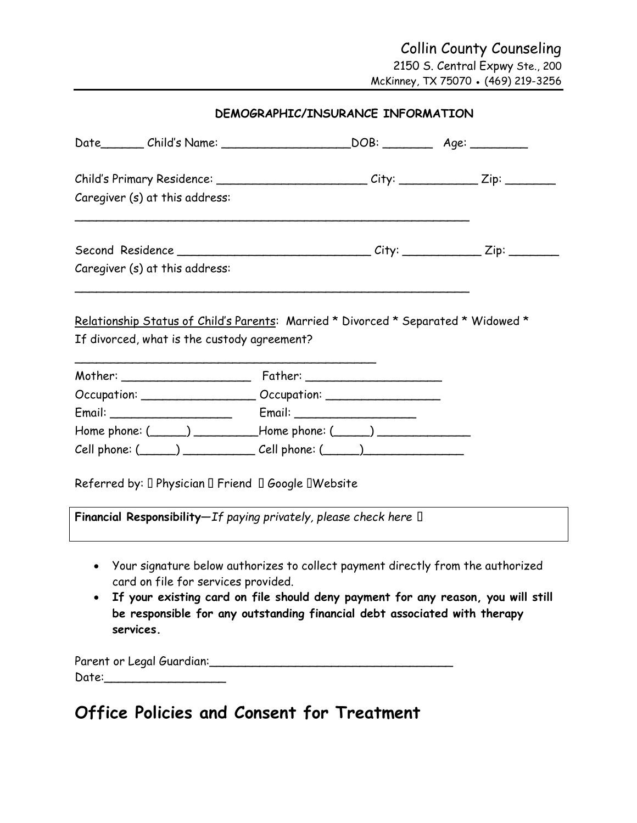| Date_________ Child's Name: ________________________DOB: _____________ Age: ___________                                           |  |  |
|-----------------------------------------------------------------------------------------------------------------------------------|--|--|
| Child's Primary Residence: ___________________________City: _____________Zip: _________                                           |  |  |
| Caregiver (s) at this address:                                                                                                    |  |  |
|                                                                                                                                   |  |  |
| Caregiver (s) at this address:                                                                                                    |  |  |
| Relationship Status of Child's Parents: Married * Divorced * Separated * Widowed *<br>If divorced, what is the custody agreement? |  |  |
|                                                                                                                                   |  |  |
|                                                                                                                                   |  |  |
| Home phone: $(\_\_\_\_)$ $\_\_\_\_\$ Home phone: $(\_\_\_\_)$                                                                     |  |  |
| $Cell$ phone: $(\_\_\_\_)$ $\_\_\_\_$ Cell phone: $(\_\_\_\_)$                                                                    |  |  |
| Referred by: I Physician I Friend I Google IWebsite                                                                               |  |  |
| Financial Responsibility-If paying privately, please check here []                                                                |  |  |
| • Your signature below authorizes to collect payment directly from the authorized                                                 |  |  |

card on file for services provided. • **If your existing card on file should deny payment for any reason, you will still be responsible for any outstanding financial debt associated with therapy services.** 

Parent or Legal Guardian: Contained the Contained States of Legal Guardian: Date:\_\_\_\_\_\_\_\_\_\_\_\_\_\_\_\_\_

# **Office Policies and Consent for Treatment**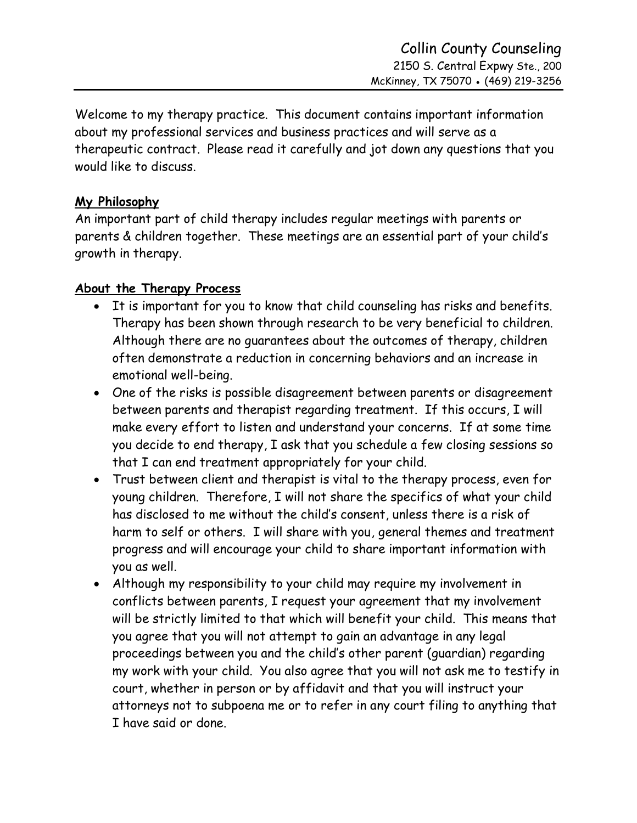Welcome to my therapy practice. This document contains important information about my professional services and business practices and will serve as a therapeutic contract. Please read it carefully and jot down any questions that you would like to discuss.

## **My Philosophy**

An important part of child therapy includes regular meetings with parents or parents & children together. These meetings are an essential part of your child's growth in therapy.

## **About the Therapy Process**

- It is important for you to know that child counseling has risks and benefits. Therapy has been shown through research to be very beneficial to children. Although there are no guarantees about the outcomes of therapy, children often demonstrate a reduction in concerning behaviors and an increase in emotional well-being.
- One of the risks is possible disagreement between parents or disagreement between parents and therapist regarding treatment. If this occurs, I will make every effort to listen and understand your concerns. If at some time you decide to end therapy, I ask that you schedule a few closing sessions so that I can end treatment appropriately for your child.
- Trust between client and therapist is vital to the therapy process, even for young children. Therefore, I will not share the specifics of what your child has disclosed to me without the child's consent, unless there is a risk of harm to self or others. I will share with you, general themes and treatment progress and will encourage your child to share important information with you as well.
- Although my responsibility to your child may require my involvement in conflicts between parents, I request your agreement that my involvement will be strictly limited to that which will benefit your child. This means that you agree that you will not attempt to gain an advantage in any legal proceedings between you and the child's other parent (guardian) regarding my work with your child. You also agree that you will not ask me to testify in court, whether in person or by affidavit and that you will instruct your attorneys not to subpoena me or to refer in any court filing to anything that I have said or done.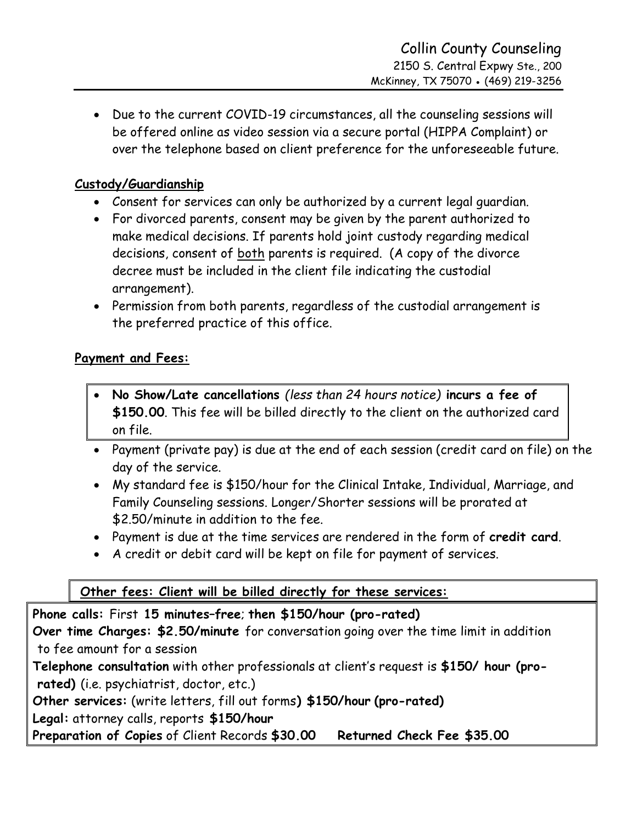• Due to the current COVID-19 circumstances, all the counseling sessions will be offered online as video session via a secure portal (HIPPA Complaint) or over the telephone based on client preference for the unforeseeable future.

## **Custody/Guardianship**

- Consent for services can only be authorized by a current legal guardian.
- For divorced parents, consent may be given by the parent authorized to make medical decisions. If parents hold joint custody regarding medical decisions, consent of both parents is required. (A copy of the divorce decree must be included in the client file indicating the custodial arrangement).
- Permission from both parents, regardless of the custodial arrangement is the preferred practice of this office.

## **Payment and Fees:**

- **No Show/Late cancellations** *(less than 24 hours notice)* **incurs a fee of \$150.00**. This fee will be billed directly to the client on the authorized card on file.
- Payment (private pay) is due at the end of each session (credit card on file) on the day of the service.
- My standard fee is \$150/hour for the Clinical Intake, Individual, Marriage, and Family Counseling sessions. Longer/Shorter sessions will be prorated at \$2.50/minute in addition to the fee.
- Payment is due at the time services are rendered in the form of **credit card**.
- A credit or debit card will be kept on file for payment of services.

# **Other fees: Client will be billed directly for these services:**

**Phone calls:** First **15 minutes–free**; **then \$150/hour (pro-rated) Over time Charges: \$2.50/minute** for conversation going over the time limit in addition to fee amount for a session **Telephone consultation** with other professionals at client's request is **\$150/ hour (prorated)** (i.e. psychiatrist, doctor, etc.) **Other services:** (write letters, fill out forms**) \$150/hour (pro-rated) Legal:** attorney calls, reports **\$150/hour Preparation of Copies** of Client Records **\$30.00 Returned Check Fee \$35.00**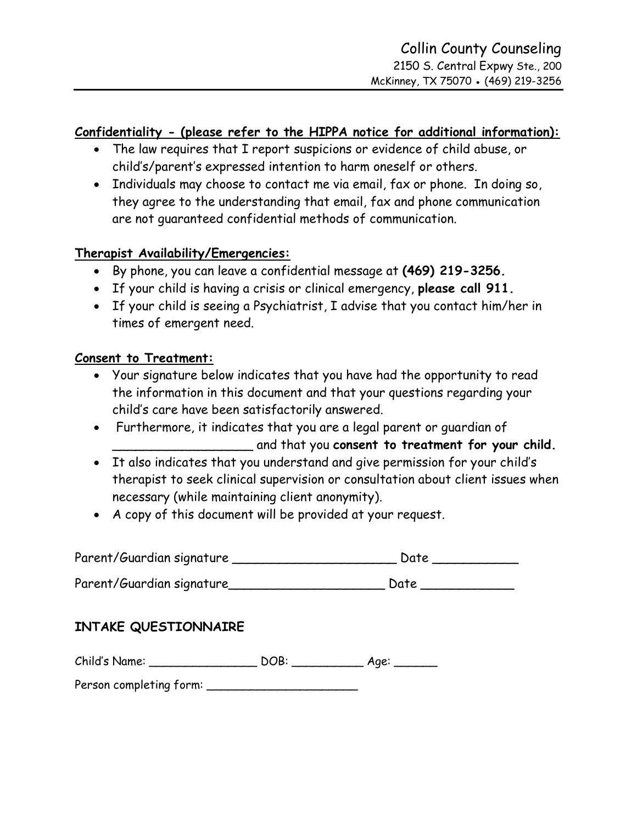#### **Confidentiality - (please refer to the HIPPA notice for additional information):**

- The law requires that I report suspicions or evidence of child abuse, or child's/parent's expressed intention to harm oneself or others.
- Individuals may choose to contact me via email, fax or phone. In doing so, they agree to the understanding that email, fax and phone communication are not guaranteed confidential methods of communication.

#### **Therapist Availability/Emergencies:**

- By phone, you can leave a confidential message at **(469) 219-3256.**
- If your child is having a crisis or clinical emergency, **please call 911.**
- If your child is seeing a Psychiatrist, I advise that you contact him/her in times of emergent need.

#### **Consent to Treatment:**

- Your signature below indicates that you have had the opportunity to read the information in this document and that your questions regarding your child's care have been satisfactorily answered.
- Furthermore, it indicates that you are a legal parent or guardian of \_\_\_\_\_\_\_\_\_\_\_\_\_\_\_\_\_\_ and that you **consent to treatment for your child.**
- It also indicates that you understand and give permission for your child's therapist to seek clinical supervision or consultation about client issues when necessary (while maintaining client anonymity).
- A copy of this document will be provided at your request.

| Parent/Guardian signature |  |
|---------------------------|--|
|---------------------------|--|

Parent/Guardian signature\_\_\_\_\_\_\_\_\_\_\_\_\_\_\_\_\_\_\_\_\_\_\_\_\_\_\_\_\_\_ Date \_\_\_\_\_\_\_\_\_\_\_\_\_\_\_\_\_\_\_

## **INTAKE QUESTIONNAIRE**

| Child's Name: | <b>DOB:</b> | Aae: |
|---------------|-------------|------|
|---------------|-------------|------|

Person completing form: \_\_\_\_\_\_\_\_\_\_\_\_\_\_\_\_\_\_\_\_\_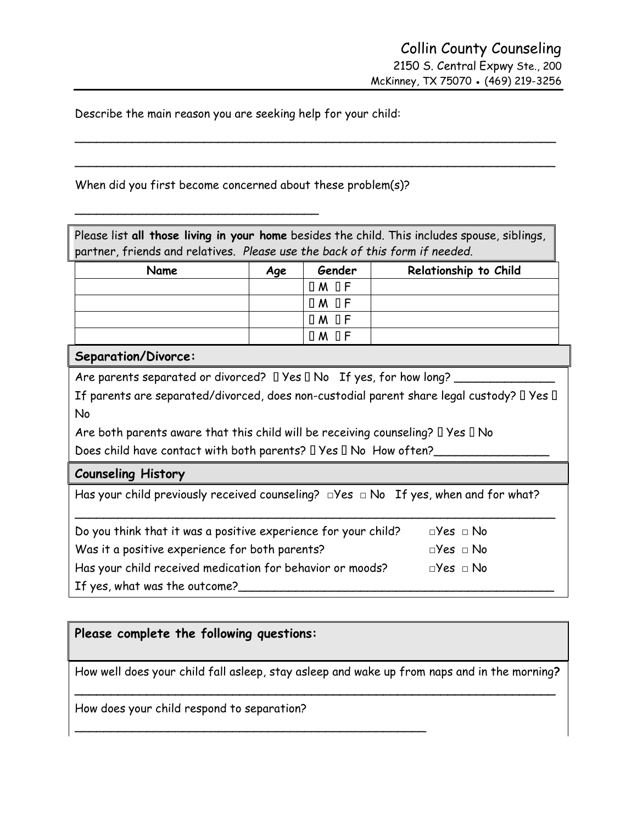Describe the main reason you are seeking help for your child:

When did you first become concerned about these problem(s)?

\_\_\_\_\_\_\_\_\_\_\_\_\_\_\_\_\_\_\_\_\_\_\_\_\_\_\_\_\_\_\_\_\_\_

| Please list all those living in your home besides the child. This includes spouse, siblings,<br>partner, friends and relatives. Please use the back of this form if needed. |                                        |                 |                                                                                           |  |
|-----------------------------------------------------------------------------------------------------------------------------------------------------------------------------|----------------------------------------|-----------------|-------------------------------------------------------------------------------------------|--|
| Name                                                                                                                                                                        | Gender<br>Relationship to Child<br>Age |                 |                                                                                           |  |
|                                                                                                                                                                             |                                        | $IM$ $IF$       |                                                                                           |  |
|                                                                                                                                                                             |                                        | I<br>$\Box$ M   |                                                                                           |  |
|                                                                                                                                                                             |                                        | ΠF<br>$\Box$ M  |                                                                                           |  |
|                                                                                                                                                                             |                                        | $\Box M \Box F$ |                                                                                           |  |
| Separation/Divorce:                                                                                                                                                         |                                        |                 |                                                                                           |  |
| Are parents separated or divorced? I Yes II No If yes, for how long? _                                                                                                      |                                        |                 |                                                                                           |  |
|                                                                                                                                                                             |                                        |                 | If parents are separated/divorced, does non-custodial parent share legal custody? I Yes I |  |
| No                                                                                                                                                                          |                                        |                 |                                                                                           |  |
| Are both parents aware that this child will be receiving counseling? $\square$ Yes $\square$ No                                                                             |                                        |                 |                                                                                           |  |
| Does child have contact with both parents? □ Yes □ No How often?_                                                                                                           |                                        |                 |                                                                                           |  |
| <b>Counseling History</b>                                                                                                                                                   |                                        |                 |                                                                                           |  |
| Has your child previously received counseling? $\Box$ Yes $\Box$ No If yes, when and for what?                                                                              |                                        |                 |                                                                                           |  |
| Do you think that it was a positive experience for your child?<br>$\Box$ Yes $\Box$ No                                                                                      |                                        |                 |                                                                                           |  |
| Was it a positive experience for both parents?<br>$\Box$ Yes $\Box$ No                                                                                                      |                                        |                 |                                                                                           |  |
| Has your child received medication for behavior or moods?<br>$\square$ Yes $\square$ No                                                                                     |                                        |                 |                                                                                           |  |
| If yes, what was the outcome?                                                                                                                                               |                                        |                 |                                                                                           |  |

 $\overline{\phantom{a}}$ 

 $\overline{\phantom{a}}$ 

#### **Please complete the following questions:**

How well does your child fall asleep, stay asleep and wake up from naps and in the morning**? \_\_\_\_\_\_\_\_\_\_\_\_\_\_\_\_\_\_\_\_\_\_\_\_\_\_\_\_\_\_\_\_\_\_\_\_\_\_\_\_\_\_\_\_\_\_\_\_\_\_\_\_\_\_\_\_\_\_\_\_\_\_\_\_\_\_\_**

How does your child respond to separation?

\_\_\_\_\_\_\_\_\_\_\_\_\_\_\_\_\_\_\_\_\_\_\_\_\_\_\_\_\_\_\_\_\_\_\_\_\_\_\_\_\_\_\_\_\_\_\_\_\_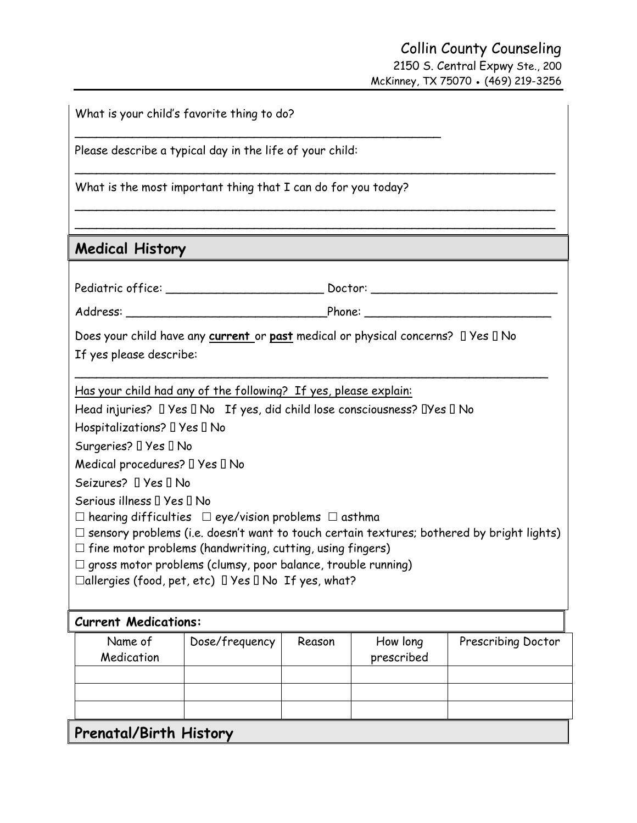## Collin County Counseling 2150 S. Central Expwy Ste., 200 McKinney, TX 75070 ● (469) 219-3256

| What is your child's favorite thing to do?                                                                                                                                                                                                                                                                                                                                                                   |                |        |                                                            |                    |
|--------------------------------------------------------------------------------------------------------------------------------------------------------------------------------------------------------------------------------------------------------------------------------------------------------------------------------------------------------------------------------------------------------------|----------------|--------|------------------------------------------------------------|--------------------|
| Please describe a typical day in the life of your child:                                                                                                                                                                                                                                                                                                                                                     |                |        |                                                            |                    |
| What is the most important thing that I can do for you today?                                                                                                                                                                                                                                                                                                                                                |                |        |                                                            |                    |
|                                                                                                                                                                                                                                                                                                                                                                                                              |                |        |                                                            |                    |
| <b>Medical History</b>                                                                                                                                                                                                                                                                                                                                                                                       |                |        | <u> 1989 - Johann Stoff, amerikansk politiker (* 1908)</u> |                    |
|                                                                                                                                                                                                                                                                                                                                                                                                              |                |        |                                                            |                    |
|                                                                                                                                                                                                                                                                                                                                                                                                              |                |        |                                                            |                    |
| Does your child have any current or past medical or physical concerns? I Yes II No<br>If yes please describe:                                                                                                                                                                                                                                                                                                |                |        |                                                            |                    |
| Has your child had any of the following? If yes, please explain:<br>Head injuries? $\Box$ Yes $\Box$ No If yes, did child lose consciousness? $\Box$ Yes $\Box$ No                                                                                                                                                                                                                                           |                |        |                                                            |                    |
| Hospitalizations? I Yes I No<br>Surgeries? I Yes I No                                                                                                                                                                                                                                                                                                                                                        |                |        |                                                            |                    |
| Medical procedures? I Yes I No                                                                                                                                                                                                                                                                                                                                                                               |                |        |                                                            |                    |
| Seizures? I Yes I No                                                                                                                                                                                                                                                                                                                                                                                         |                |        |                                                            |                    |
| Serious illness I Yes I No<br>$\Box$ hearing difficulties $\Box$ eye/vision problems $\Box$ asthma<br>$\Box$ sensory problems (i.e. doesn't want to touch certain textures; bothered by bright lights)<br>$\Box$ fine motor problems (handwriting, cutting, using fingers)<br>$\square$ gross motor problems (clumsy, poor balance, trouble running)<br>□allergies (food, pet, etc) □ Yes □ No If yes, what? |                |        |                                                            |                    |
| <b>Current Medications:</b>                                                                                                                                                                                                                                                                                                                                                                                  |                |        |                                                            |                    |
| Name of<br>Medication                                                                                                                                                                                                                                                                                                                                                                                        | Dose/frequency | Reason | How long<br>prescribed                                     | Prescribing Doctor |
|                                                                                                                                                                                                                                                                                                                                                                                                              |                |        |                                                            |                    |
|                                                                                                                                                                                                                                                                                                                                                                                                              |                |        |                                                            |                    |
|                                                                                                                                                                                                                                                                                                                                                                                                              |                |        |                                                            |                    |

**Prenatal/Birth History**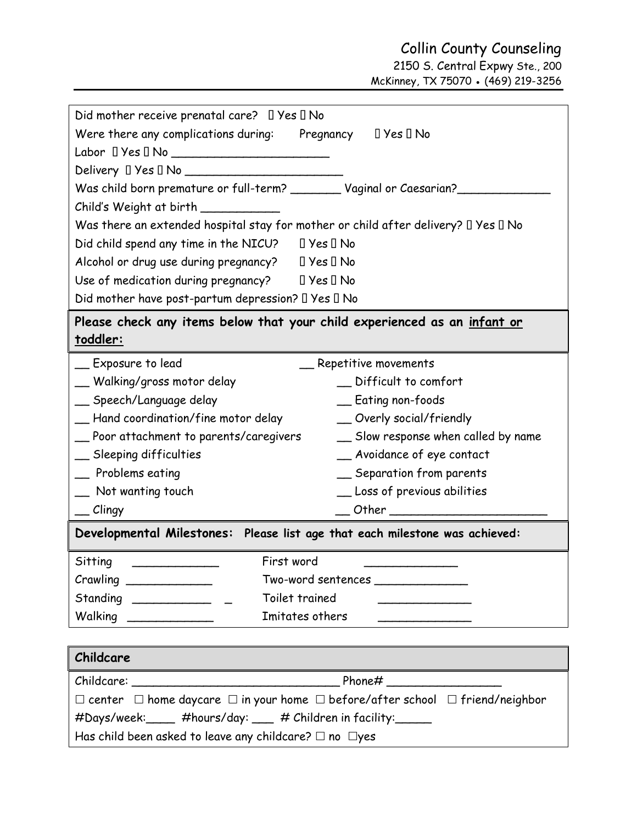2150 S. Central Expwy Ste., 200 McKinney, TX 75070 ● (469) 219-3256

| Did mother receive prenatal care? $\Box$ Yes $\Box$ No                                                  |  |  |
|---------------------------------------------------------------------------------------------------------|--|--|
| Were there any complications during: Pregnancy $\Box$ Yes $\Box$ No                                     |  |  |
|                                                                                                         |  |  |
| $Delivery \Box Yes \Box No$                                                                             |  |  |
| Was child born premature or full-term? _________ Vaginal or Caesarian?____                              |  |  |
| Child's Weight at birth __________                                                                      |  |  |
| Was there an extended hospital stay for mother or child after delivery? $\Box$ Yes $\Box$ No            |  |  |
| ∏ Yes ∏ No<br>Did child spend any time in the NICU?                                                     |  |  |
| Alcohol or drug use during pregnancy? $\Box$ Yes $\Box$ No                                              |  |  |
| Use of medication during pregnancy? $\Box$ Yes $\Box$ No                                                |  |  |
| Did mother have post-partum depression? $\Box$ Yes $\Box$ No                                            |  |  |
| Please check any items below that your child experienced as an <u>infant or</u>                         |  |  |
| <u>toddler:</u>                                                                                         |  |  |
| $\equiv$ Exposure to lead<br>_ Repetitive movements                                                     |  |  |
| __ Walking/gross motor delay<br>_ Difficult to comfort                                                  |  |  |
| __ Speech/Language delay<br>_ Eating non-foods                                                          |  |  |
| __ Hand coordination/fine motor delay<br>_ Overly social/friendly                                       |  |  |
| __ Poor attachment to parents/caregivers<br>_ Slow response when called by name                         |  |  |
| _ Sleeping difficulties<br>_ Avoidance of eye contact                                                   |  |  |
| _ Problems eating<br>_ Separation from parents                                                          |  |  |
| _ Loss of previous abilities<br>_ Not wanting touch                                                     |  |  |
| $\equiv$ Clingy                                                                                         |  |  |
| Developmental Milestones: Please list age that each milestone was achieved:                             |  |  |
| First word<br>Sitting                                                                                   |  |  |
| Crawling ______________<br>Two-word sentences                                                           |  |  |
| $Standard ________$<br>Toilet trained                                                                   |  |  |
| Imitates others                                                                                         |  |  |
|                                                                                                         |  |  |
| Childcare                                                                                               |  |  |
|                                                                                                         |  |  |
| $\Box$ center $\Box$ home daycare $\Box$ in your home $\Box$ before/after school $\Box$ friend/neighbor |  |  |
| #Days/week:_____ #hours/day: ___ # Children in facility:_____                                           |  |  |
| Has child been asked to leave any childcare? $\square$ no $\square$ yes                                 |  |  |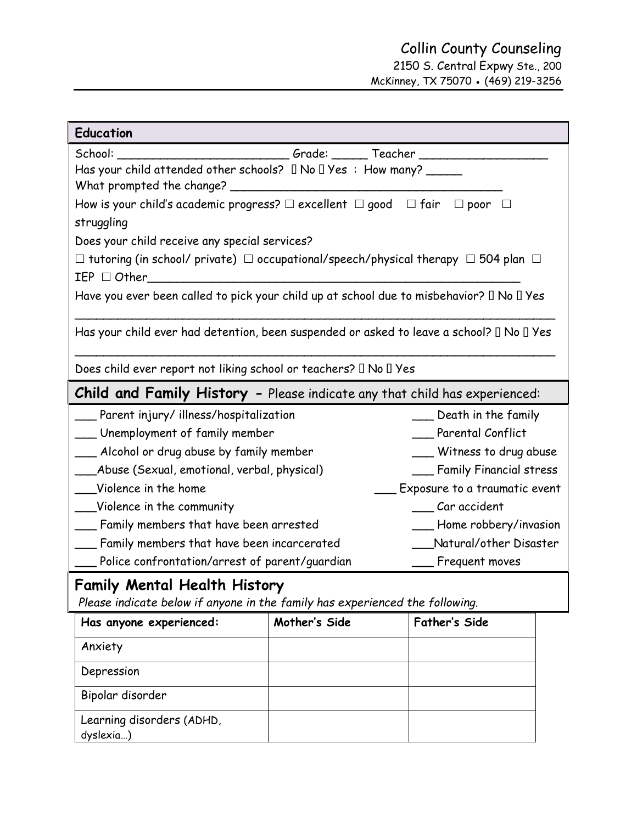2150 S. Central Expwy Ste., 200 McKinney, TX 75070 ● (469) 219-3256

| <b>Education</b>                                                                                        |               |                          |  |  |
|---------------------------------------------------------------------------------------------------------|---------------|--------------------------|--|--|
| ______________________Grade: _______ Teacher ________<br>School:                                        |               |                          |  |  |
| Has your child attended other schools? I No I Yes : How many? _____                                     |               |                          |  |  |
|                                                                                                         |               |                          |  |  |
| How is your child's academic progress? $\square$ excellent $\square$ good $\square$ fair                |               | $\Box$ poor              |  |  |
| struggling                                                                                              |               |                          |  |  |
| Does your child receive any special services?                                                           |               |                          |  |  |
| $\Box$ tutoring (in school/ private) $\Box$ occupational/speech/physical therapy $\Box$ 504 plan $\Box$ |               |                          |  |  |
| $IEP \square$ Other                                                                                     |               |                          |  |  |
| Have you ever been called to pick your child up at school due to misbehavior? I No I Yes                |               |                          |  |  |
| Has your child ever had detention, been suspended or asked to leave a school? II No II Yes              |               |                          |  |  |
| Does child ever report not liking school or teachers? □ No □ Yes                                        |               |                          |  |  |
| <b>Child and Family History -</b> Please indicate any that child has experienced:                       |               |                          |  |  |
| Parent injury/illness/hospitalization<br>___ Death in the family                                        |               |                          |  |  |
| __ Unemployment of family member<br>Parental Conflict                                                   |               |                          |  |  |
| __ Alcohol or drug abuse by family member<br>___ Witness to drug abuse                                  |               |                          |  |  |
| ___Abuse (Sexual, emotional, verbal, physical)<br>__ Family Financial stress                            |               |                          |  |  |
| Violence in the home<br>Exposure to a traumatic event                                                   |               |                          |  |  |
| Car accident<br>___Violence in the community                                                            |               |                          |  |  |
| __ Family members that have been arrested                                                               |               | __ Home robbery/invasion |  |  |
| __ Family members that have been incarcerated                                                           |               | Natural/other Disaster   |  |  |
| __ Police confrontation/arrest of parent/guardian                                                       |               | Frequent moves           |  |  |
| <b>Family Mental Health History</b>                                                                     |               |                          |  |  |
| Please indicate below if anyone in the family has experienced the following.                            |               |                          |  |  |
| Has anyone experienced:                                                                                 | Mother's Side | <b>Father's Side</b>     |  |  |
| Anxiety                                                                                                 |               |                          |  |  |
| Depression                                                                                              |               |                          |  |  |
| Bipolar disorder                                                                                        |               |                          |  |  |
| Learning disorders (ADHD,                                                                               |               |                          |  |  |
| dyslexia)                                                                                               |               |                          |  |  |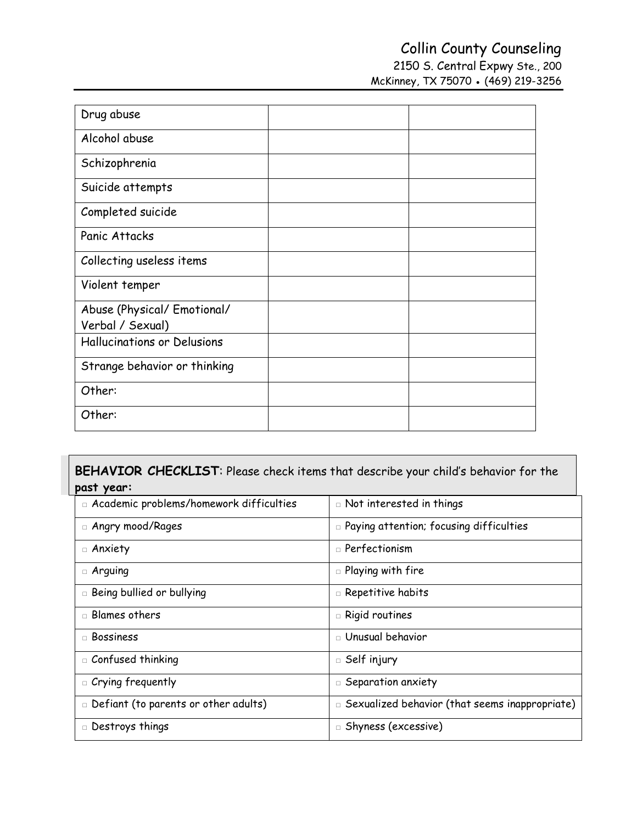2150 S. Central Expwy Ste., 200 McKinney, TX 75070 ● (469) 219-3256

| Drug abuse                   |  |
|------------------------------|--|
| Alcohol abuse                |  |
| Schizophrenia                |  |
| Suicide attempts             |  |
| Completed suicide            |  |
| Panic Attacks                |  |
| Collecting useless items     |  |
| Violent temper               |  |
| Abuse (Physical/ Emotional/  |  |
| Verbal / Sexual)             |  |
| Hallucinations or Delusions  |  |
| Strange behavior or thinking |  |
| Other:                       |  |
| Other:                       |  |

 $\mathbf{I}$ 

| BEHAVIOR CHECKLIST: Please check items that describe your child's behavior for the |                                                          |  |  |  |
|------------------------------------------------------------------------------------|----------------------------------------------------------|--|--|--|
| past year:                                                                         |                                                          |  |  |  |
| □ Academic problems/homework difficulties                                          | $\Box$ Not interested in things                          |  |  |  |
| □ Angry mood/Rages                                                                 | $\Box$ Paying attention; focusing difficulties           |  |  |  |
| $\Box$ Anxiety                                                                     | $\square$ Perfectionism                                  |  |  |  |
| $\Box$ Arguing                                                                     | $\square$ Playing with fire                              |  |  |  |
| <b>E</b> Being bullied or bullying                                                 | $\Box$ Repetitive habits                                 |  |  |  |
| $\Box$ Blames others                                                               | $\square$ Rigid routines                                 |  |  |  |
| $\Box$ Bossiness                                                                   | $\Box$ Unusual behavior                                  |  |  |  |
| □ Confused thinking                                                                | $\square$ Self injury                                    |  |  |  |
| $\Box$ Crying frequently                                                           | $\Box$ Separation anxiety                                |  |  |  |
| Defiant (to parents or other adults)                                               | $\square$ Sexualized behavior (that seems inappropriate) |  |  |  |
| □ Destroys things                                                                  | $\square$ Shyness (excessive)                            |  |  |  |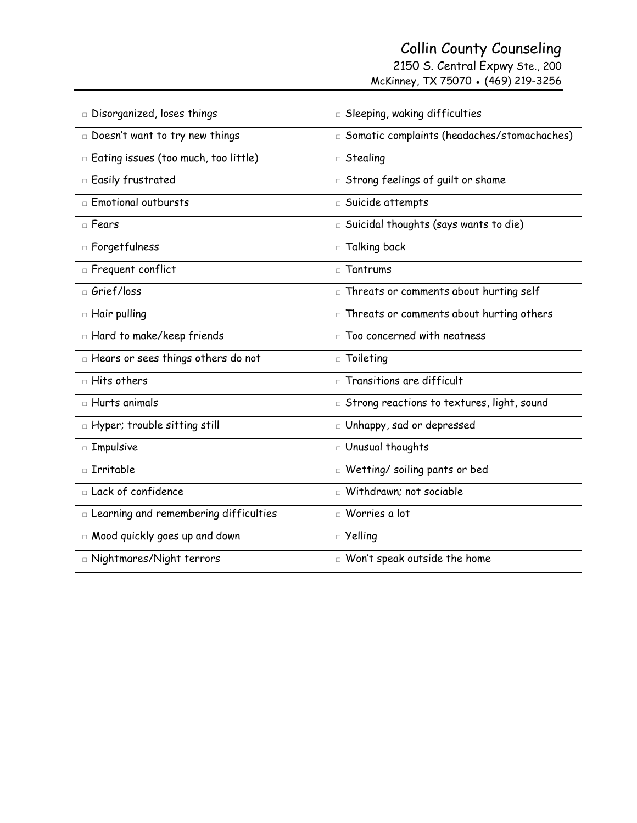2150 S. Central Expwy Ste., 200

McKinney, TX 75070 ● (469) 219-3256

| Disorganized, loses things                   | <b>D</b> Sleeping, waking difficulties      |
|----------------------------------------------|---------------------------------------------|
| Doesn't want to try new things               | Somatic complaints (headaches/stomachaches) |
| Eating issues (too much, too little)         | $\Box$ Stealing                             |
| <b>Easily frustrated</b>                     | Strong feelings of guilt or shame           |
| <b>Emotional outbursts</b>                   | □ Suicide attempts                          |
| $\Box$ Fears                                 | Suicidal thoughts (says wants to die)       |
| n Forgetfulness                              | □ Talking back                              |
| <b>n</b> Frequent conflict                   | $\Box$ Tantrums                             |
| □ Grief/loss                                 | Fig. Threats or comments about hurting self |
| □ Hair pulling                               | n Threats or comments about hurting others  |
| <b>E</b> Hard to make/keep friends           | $\Box$ Too concerned with neatness          |
| E Hears or sees things others do not         | $\Box$ Toileting                            |
| $\Box$ Hits others                           | $\Box$ Transitions are difficult            |
| $\Box$ Hurts animals                         | Strong reactions to textures, light, sound  |
| <b>E</b> Hyper; trouble sitting still        | D Unhappy, sad or depressed                 |
| □ Impulsive                                  | □ Unusual thoughts                          |
| $\Box$ Irritable                             | <b>Netting/soiling pants or bed</b>         |
| $\Box$ Lack of confidence                    | $\Box$ Withdrawn: not sociable              |
| $\Box$ Learning and remembering difficulties | $\Box$ Worries a lot                        |
| □ Mood quickly goes up and down              | $\Box$ Yelling                              |
| □ Nightmares/Night terrors                   | □ Won't speak outside the home              |